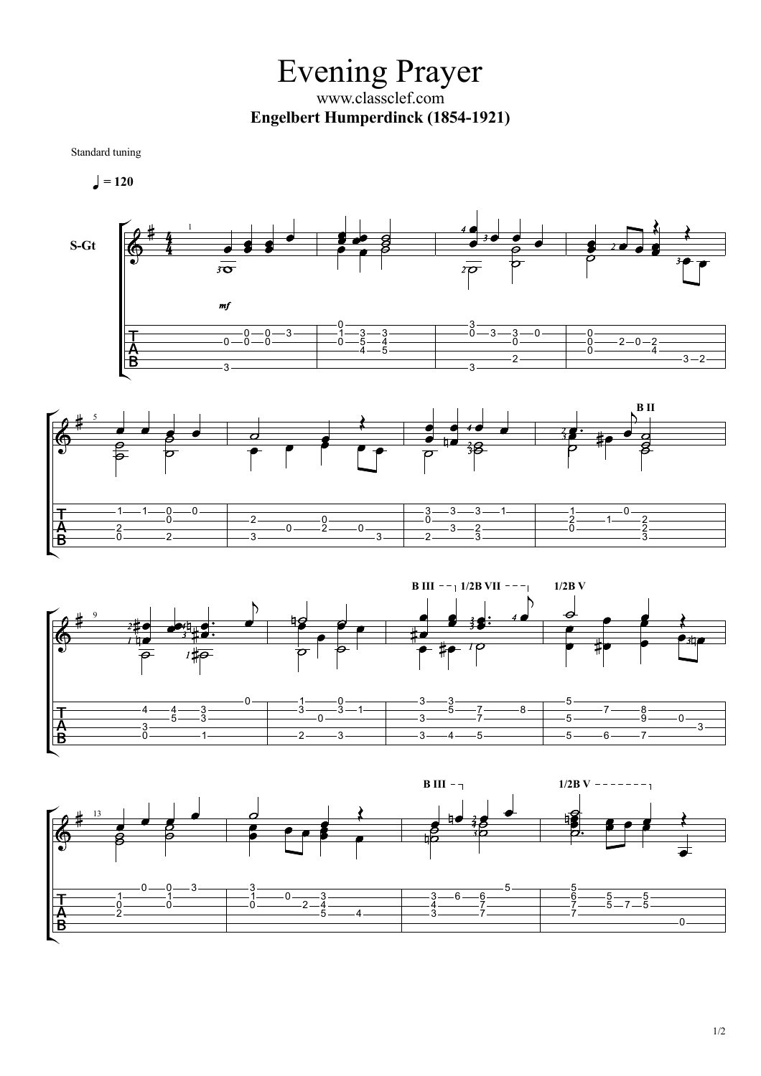Evening Prayer www.classclef.com **Engelbert Humperdinck (1854-1921)**

Standard tuning